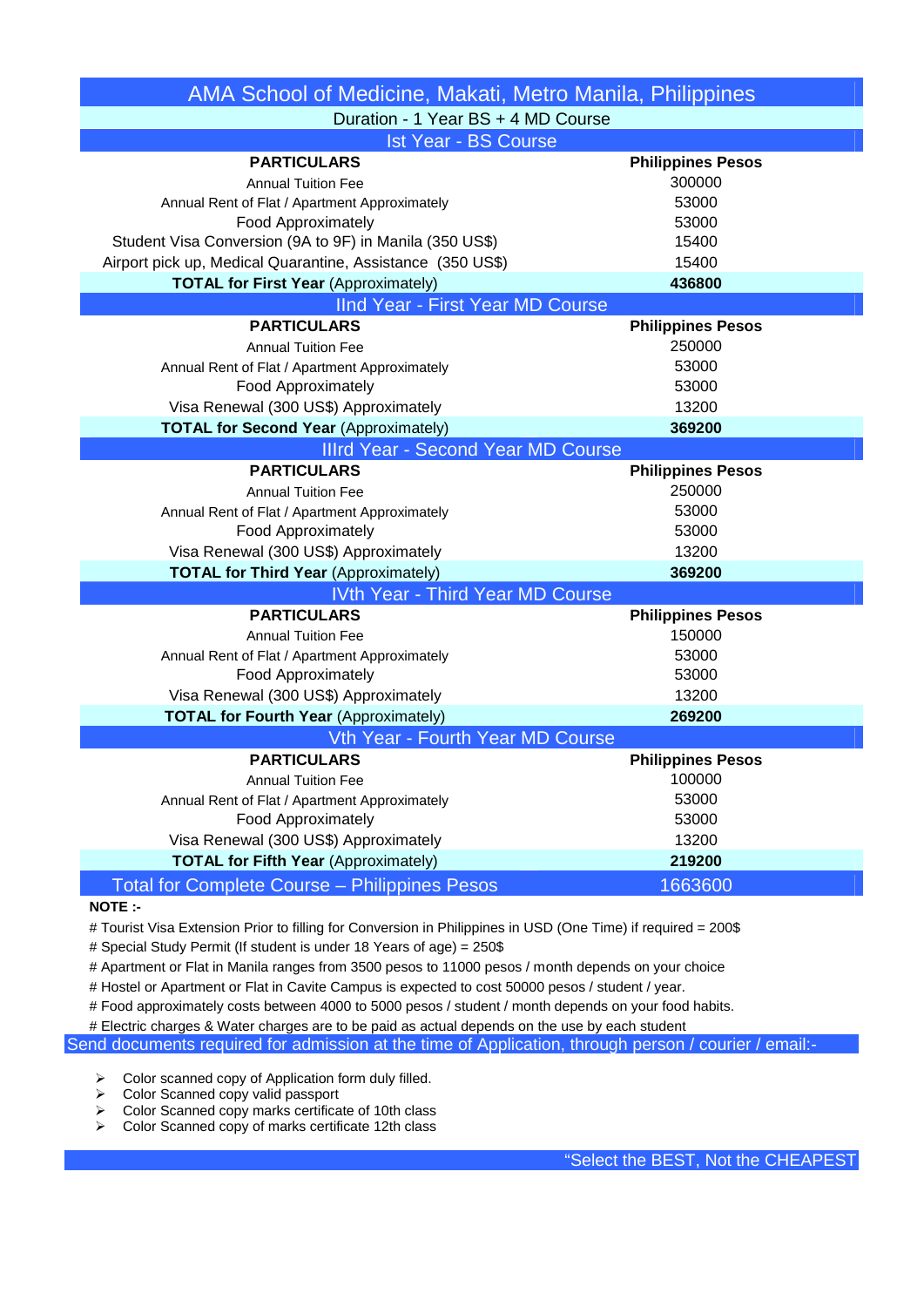| AMA School of Medicine, Makati, Metro Manila, Philippines           |                          |  |
|---------------------------------------------------------------------|--------------------------|--|
| Duration - 1 Year BS + 4 MD Course                                  |                          |  |
| <b>Ist Year - BS Course</b>                                         |                          |  |
| <b>PARTICULARS</b>                                                  | <b>Philippines Pesos</b> |  |
| <b>Annual Tuition Fee</b>                                           | 300000                   |  |
| Annual Rent of Flat / Apartment Approximately                       | 53000                    |  |
| <b>Food Approximately</b>                                           | 53000                    |  |
| Student Visa Conversion (9A to 9F) in Manila (350 US\$)             | 15400                    |  |
| Airport pick up, Medical Quarantine, Assistance (350 US\$)          | 15400                    |  |
| <b>TOTAL for First Year (Approximately)</b>                         | 436800                   |  |
| IInd Year - First Year MD Course                                    |                          |  |
| <b>PARTICULARS</b>                                                  | <b>Philippines Pesos</b> |  |
| <b>Annual Tuition Fee</b>                                           | 250000                   |  |
| Annual Rent of Flat / Apartment Approximately                       | 53000                    |  |
| Food Approximately                                                  | 53000                    |  |
| Visa Renewal (300 US\$) Approximately                               | 13200                    |  |
| <b>TOTAL for Second Year (Approximately)</b>                        | 369200                   |  |
| <b>Illrd Year - Second Year MD Course</b>                           |                          |  |
| <b>PARTICULARS</b>                                                  | <b>Philippines Pesos</b> |  |
| <b>Annual Tuition Fee</b>                                           | 250000                   |  |
| Annual Rent of Flat / Apartment Approximately                       | 53000                    |  |
| Food Approximately                                                  | 53000                    |  |
| Visa Renewal (300 US\$) Approximately                               | 13200                    |  |
| <b>TOTAL for Third Year (Approximately)</b>                         | 369200                   |  |
| <b>IVth Year - Third Year MD Course</b>                             |                          |  |
| <b>PARTICULARS</b>                                                  | <b>Philippines Pesos</b> |  |
| <b>Annual Tuition Fee</b>                                           | 150000                   |  |
| Annual Rent of Flat / Apartment Approximately                       | 53000                    |  |
| Food Approximately                                                  | 53000                    |  |
| Visa Renewal (300 US\$) Approximately                               | 13200                    |  |
| <b>TOTAL for Fourth Year (Approximately)</b>                        | 269200                   |  |
| Vth Year - Fourth Year MD Course                                    |                          |  |
| <b>PARTICULARS</b>                                                  | <b>Philippines Pesos</b> |  |
| <b>Annual Tuition Fee</b>                                           | 100000                   |  |
| Annual Rent of Flat / Apartment Approximately<br>Food Approximately | 53000<br>53000           |  |
|                                                                     | 13200                    |  |
| Visa Renewal (300 US\$) Approximately                               |                          |  |
| <b>TOTAL for Fifth Year (Approximately)</b>                         | 219200                   |  |
| <b>Total for Complete Course - Philippines Pesos</b>                | 1663600                  |  |

## **NOTE :-**

# Tourist Visa Extension Prior to filling for Conversion in Philippines in USD (One Time) if required = 200\$

# Special Study Permit (If student is under 18 Years of age) = 250\$

# Apartment or Flat in Manila ranges from 3500 pesos to 11000 pesos / month depends on your choice

# Hostel or Apartment or Flat in Cavite Campus is expected to cost 50000 pesos / student / year.

# Food approximately costs between 4000 to 5000 pesos / student / month depends on your food habits.

# Electric charges & Water charges are to be paid as actual depends on the use by each student

Send documents required for admission at the time of Application, through person / courier / email:-

 $\geq$  Color scanned copy of Application form duly filled.<br>  $\geq$  Color Scanned copy valid passport

- Color Scanned copy valid passport
- $\geq$  Color Scanned copy marks certificate of 10th class<br>  $\geq$  Color Scanned copy of marks certificate 12th class
- Color Scanned copy of marks certificate 12th class